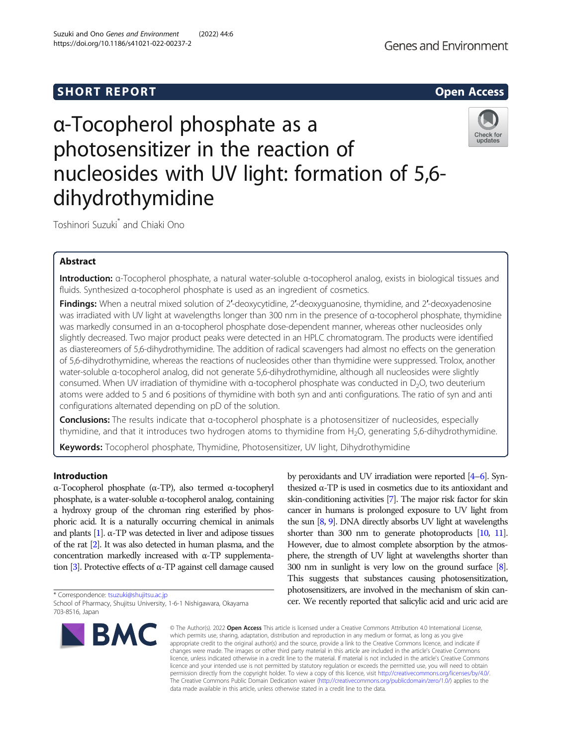# **SHORT REPORT SHORT CONSUMING THE OPEN ACCESS**

# α-Tocopherol phosphate as a photosensitizer in the reaction of nucleosides with UV light: formation of 5,6 dihydrothymidine

Toshinori Suzuki\* and Chiaki Ono

# Abstract

Introduction: α-Tocopherol phosphate, a natural water-soluble α-tocopherol analog, exists in biological tissues and fluids. Synthesized α-tocopherol phosphate is used as an ingredient of cosmetics.

Findings: When a neutral mixed solution of 2'-deoxycytidine, 2'-deoxyguanosine, thymidine, and 2'-deoxyadenosine was irradiated with UV light at wavelengths longer than 300 nm in the presence of α-tocopherol phosphate, thymidine was markedly consumed in an α-tocopherol phosphate dose-dependent manner, whereas other nucleosides only slightly decreased. Two major product peaks were detected in an HPLC chromatogram. The products were identified as diastereomers of 5,6-dihydrothymidine. The addition of radical scavengers had almost no effects on the generation of 5,6-dihydrothymidine, whereas the reactions of nucleosides other than thymidine were suppressed. Trolox, another water-soluble α-tocopherol analog, did not generate 5,6-dihydrothymidine, although all nucleosides were slightly consumed. When UV irradiation of thymidine with α-tocopherol phosphate was conducted in D<sub>2</sub>O, two deuterium atoms were added to 5 and 6 positions of thymidine with both syn and anti configurations. The ratio of syn and anti configurations alternated depending on pD of the solution.

Conclusions: The results indicate that α-tocopherol phosphate is a photosensitizer of nucleosides, especially thymidine, and that it introduces two hydrogen atoms to thymidine from  $H_2O$ , generating 5,6-dihydrothymidine.

Keywords: Tocopherol phosphate, Thymidine, Photosensitizer, UV light, Dihydrothymidine

# Introduction

α-Tocopherol phosphate (α-TP), also termed α-tocopheryl phosphate, is a water-soluble α-tocopherol analog, containing a hydroxy group of the chroman ring esterified by phosphoric acid. It is a naturally occurring chemical in animals and plants  $[1]$ .  $\alpha$ -TP was detected in liver and adipose tissues of the rat [\[2\]](#page-7-0). It was also detected in human plasma, and the concentration markedly increased with α-TP supplementa-tion [\[3\]](#page-7-0). Protective effects of α-TP against cell damage caused

\* Correspondence: [tsuzuki@shujitsu.ac.jp](mailto:tsuzuki@shujitsu.ac.jp)

School of Pharmacy, Shujitsu University, 1-6-1 Nishigawara, Okayama **BMC** 

by peroxidants and UV irradiation were reported [[4](#page-7-0)–[6](#page-7-0)]. Synthesized α-TP is used in cosmetics due to its antioxidant and skin-conditioning activities [\[7](#page-7-0)]. The major risk factor for skin cancer in humans is prolonged exposure to UV light from the sun [\[8,](#page-7-0) [9\]](#page-7-0). DNA directly absorbs UV light at wavelengths shorter than 300 nm to generate photoproducts [\[10,](#page-7-0) [11\]](#page-7-0). However, due to almost complete absorption by the atmosphere, the strength of UV light at wavelengths shorter than 300 nm in sunlight is very low on the ground surface [\[8\]](#page-7-0). This suggests that substances causing photosensitization, photosensitizers, are involved in the mechanism of skin cancer. We recently reported that salicylic acid and uric acid are

**Genes and Environment** 



<sup>703-8516,</sup> Japan

<sup>©</sup> The Author(s), 2022 **Open Access** This article is licensed under a Creative Commons Attribution 4.0 International License, which permits use, sharing, adaptation, distribution and reproduction in any medium or format, as long as you give appropriate credit to the original author(s) and the source, provide a link to the Creative Commons licence, and indicate if changes were made. The images or other third party material in this article are included in the article's Creative Commons licence, unless indicated otherwise in a credit line to the material. If material is not included in the article's Creative Commons licence and your intended use is not permitted by statutory regulation or exceeds the permitted use, you will need to obtain permission directly from the copyright holder. To view a copy of this licence, visit [http://creativecommons.org/licenses/by/4.0/.](http://creativecommons.org/licenses/by/4.0/) The Creative Commons Public Domain Dedication waiver [\(http://creativecommons.org/publicdomain/zero/1.0/](http://creativecommons.org/publicdomain/zero/1.0/)) applies to the data made available in this article, unless otherwise stated in a credit line to the data.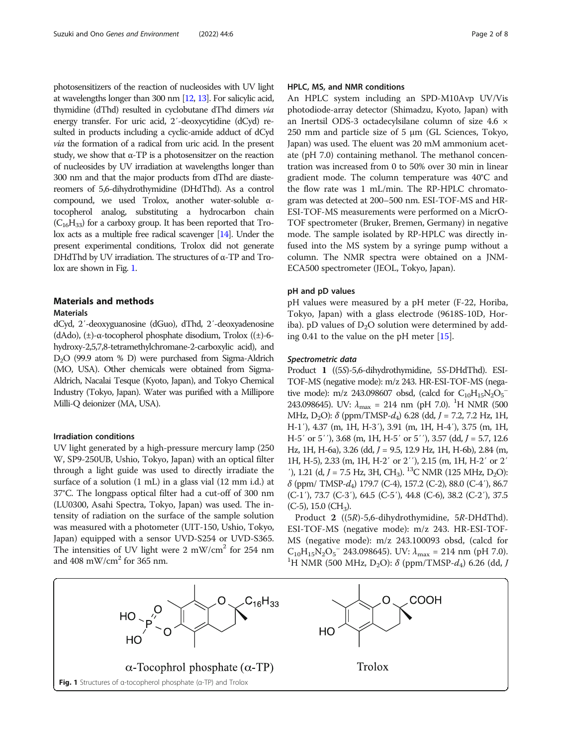photosensitizers of the reaction of nucleosides with UV light at wavelengths longer than 300 nm [\[12](#page-7-0), [13\]](#page-7-0). For salicylic acid, thymidine (dThd) resulted in cyclobutane dThd dimers via energy transfer. For uric acid, 2′-deoxycytidine (dCyd) resulted in products including a cyclic-amide adduct of dCyd via the formation of a radical from uric acid. In the present study, we show that  $\alpha$ -TP is a photosensitzer on the reaction of nucleosides by UV irradiation at wavelengths longer than 300 nm and that the major products from dThd are diastereomers of 5,6-dihydrothymidine (DHdThd). As a control compound, we used Trolox, another water-soluble αtocopherol analog, substituting a hydrocarbon chain  $(C_{16}H_{33})$  for a carboxy group. It has been reported that Trolox acts as a multiple free radical scavenger [\[14](#page-7-0)]. Under the present experimental conditions, Trolox did not generate DHdThd by UV irradiation. The structures of α-TP and Trolox are shown in Fig. 1.

# Materials and methods

# **Materials**

dCyd, 2′-deoxyguanosine (dGuo), dThd, 2′-deoxyadenosine (dAdo), (±)-α-tocopherol phosphate disodium, Trolox ((±)-6 hydroxy-2,5,7,8-tetramethylchromane-2-carboxylic acid), and  $D<sub>2</sub>O$  (99.9 atom % D) were purchased from Sigma-Aldrich (MO, USA). Other chemicals were obtained from Sigma-Aldrich, Nacalai Tesque (Kyoto, Japan), and Tokyo Chemical Industry (Tokyo, Japan). Water was purified with a Millipore Milli-Q deionizer (MA, USA).

# Irradiation conditions

UV light generated by a high-pressure mercury lamp (250 W, SP9-250UB, Ushio, Tokyo, Japan) with an optical filter through a light guide was used to directly irradiate the surface of a solution (1 mL) in a glass vial (12 mm i.d.) at 37°C. The longpass optical filter had a cut-off of 300 nm (LU0300, Asahi Spectra, Tokyo, Japan) was used. The intensity of radiation on the surface of the sample solution was measured with a photometer (UIT-150, Ushio, Tokyo, Japan) equipped with a sensor UVD-S254 or UVD-S365. The intensities of UV light were  $2 \text{ mW/cm}^2$  for  $254 \text{ nm}$ and 408 mW/cm<sup>2</sup> for 365 nm.

# HPLC, MS, and NMR conditions

An HPLC system including an SPD-M10Avp UV/Vis photodiode-array detector (Shimadzu, Kyoto, Japan) with an Inertsil ODS-3 octadecylsilane column of size 4.6 × 250 mm and particle size of 5 μm (GL Sciences, Tokyo, Japan) was used. The eluent was 20 mM ammonium acetate (pH 7.0) containing methanol. The methanol concentration was increased from 0 to 50% over 30 min in linear gradient mode. The column temperature was 40°C and the flow rate was 1 mL/min. The RP-HPLC chromatogram was detected at 200–500 nm. ESI-TOF-MS and HR-ESI-TOF-MS measurements were performed on a MicrO-TOF spectrometer (Bruker, Bremen, Germany) in negative mode. The sample isolated by RP-HPLC was directly infused into the MS system by a syringe pump without a column. The NMR spectra were obtained on a JNM-ECA500 spectrometer (JEOL, Tokyo, Japan).

# pH and pD values

pH values were measured by a pH meter (F-22, Horiba, Tokyo, Japan) with a glass electrode (9618S-10D, Horiba). pD values of  $D_2O$  solution were determined by adding 0.41 to the value on the pH meter [\[15](#page-7-0)].

# Spectrometric data

Product 1 ((5S)-5,6-dihydrothymidine, 5S-DHdThd). ESI-TOF-MS (negative mode): m/z 243. HR-ESI-TOF-MS (negative mode): m/z 243.098607 obsd, (calcd for  $C_{10}H_{15}N_2O_5^{-1}$ 243.098645). UV:  $\lambda_{\text{max}} = 214 \text{ nm (pH 7.0)}$ . <sup>1</sup>H NMR (500 MHz, D<sub>2</sub>O):  $\delta$  (ppm/TMSP-d<sub>4</sub>) 6.28 (dd, J = 7.2, 7.2 Hz, 1H, H-1′), 4.37 (m, 1H, H-3′), 3.91 (m, 1H, H-4′), 3.75 (m, 1H, H-5' or 5''), 3.68 (m, 1H, H-5' or 5''), 3.57 (dd,  $J = 5.7$ , 12.6 Hz, 1H, H-6a), 3.26 (dd, J = 9.5, 12.9 Hz, 1H, H-6b), 2.84 (m, 1H, H-5), 2.33 (m, 1H, H-2′ or 2′′), 2.15 (m, 1H, H-2′ or 2′ '), 1.21 (d,  $J = 7.5$  Hz, 3H, CH<sub>3</sub>). <sup>13</sup>C NMR (125 MHz, D<sub>2</sub>O):  $\delta$  (ppm/ TMSP- $d_4$ ) 179.7 (C-4), 157.2 (C-2), 88.0 (C-4'), 86.7 (C-1′), 73.7 (C-3′), 64.5 (C-5′), 44.8 (C-6), 38.2 (C-2′), 37.5  $(C-5)$ , 15.0  $(CH_3)$ .

Product 2 ((5R)-5,6-dihydrothymidine, 5R-DHdThd). ESI-TOF-MS (negative mode): m/z 243. HR-ESI-TOF-MS (negative mode): m/z 243.100093 obsd, (calcd for  $C_{10}H_{15}N_2O_5$ <sup>-</sup> 243.098645). UV:  $\lambda_{\text{max}}$  = 214 nm (pH 7.0).<br><sup>1</sup>H NMP (500 MHz, D O):  $\delta$  (ppm/TMSP d) 6.26 (dd. <sup>1</sup>H NMR (500 MHz, D<sub>2</sub>O): δ (ppm/TMSP- $d_4$ ) 6.26 (dd, J

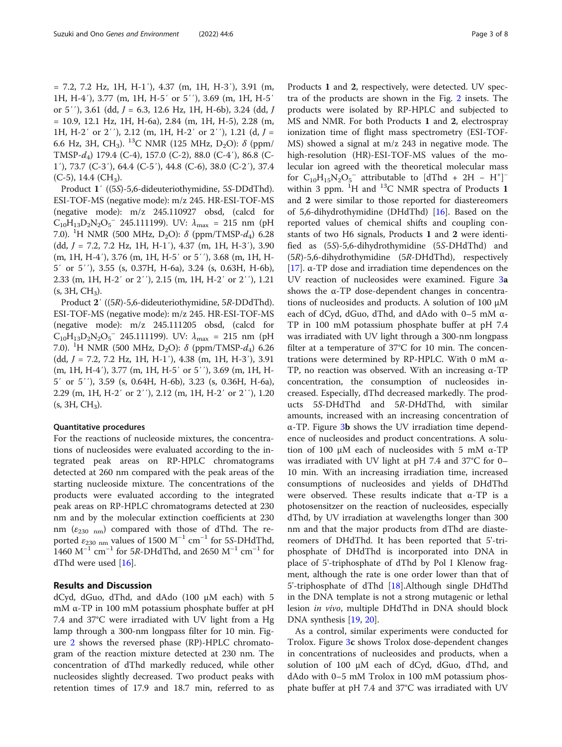= 7.2, 7.2 Hz, 1H, H-1′), 4.37 (m, 1H, H-3′), 3.91 (m, 1H, H-4′), 3.77 (m, 1H, H-5′ or 5′′), 3.69 (m, 1H, H-5′ or 5''), 3.61 (dd,  $J = 6.3$ , 12.6 Hz, 1H, H-6b), 3.24 (dd,  $J$ = 10.9, 12.1 Hz, 1H, H-6a), 2.84 (m, 1H, H-5), 2.28 (m, 1H, H-2' or 2''), 2.12 (m, 1H, H-2' or 2''), 1.21 (d,  $J =$ 6.6 Hz, 3H, CH<sub>3</sub>). <sup>13</sup>C NMR (125 MHz, D<sub>2</sub>O):  $\delta$  (ppm/ TMSP-d4) 179.4 (C-4), 157.0 (C-2), 88.0 (C-4′), 86.8 (C-1′), 73.7 (C-3′), 64.4 (C-5′), 44.8 (C-6), 38.0 (C-2′), 37.4  $(C-5)$ , 14.4  $(CH<sub>3</sub>)$ .

Product 1′ ((5S)-5,6-dideuteriothymidine, 5S-DDdThd). ESI-TOF-MS (negative mode): m/z 245. HR-ESI-TOF-MS (negative mode): m/z 245.110927 obsd, (calcd for  $C_{10}H_{13}D_2N_2O_5$ <sup>-</sup> 245.111199). UV:  $\lambda_{\text{max}}$  = 215 nm (pH 7.0). <sup>1</sup>H NMR (500 MHz, D<sub>2</sub>O): δ (ppm/TMSP- $d_4$ ) 6.28 (dd, J = 7.2, 7.2 Hz, 1H, H-1′), 4.37 (m, 1H, H-3′), 3.90 (m, 1H, H-4′), 3.76 (m, 1H, H-5′ or 5′′), 3.68 (m, 1H, H-5′ or 5′′), 3.55 (s, 0.37H, H-6a), 3.24 (s, 0.63H, H-6b), 2.33 (m, 1H, H-2′ or 2′′), 2.15 (m, 1H, H-2′ or 2′′), 1.21  $(s, 3H, CH<sub>3</sub>)$ .

Product 2′ ((5R)-5,6-dideuteriothymidine, 5R-DDdThd). ESI-TOF-MS (negative mode): m/z 245. HR-ESI-TOF-MS (negative mode): m/z 245.111205 obsd, (calcd for  $C_{10}H_{13}D_2N_2O_5$ <sup>-</sup> 245.111199). UV:  $\lambda_{\text{max}}$  = 215 nm (pH 7.0). <sup>1</sup>H NMR (500 MHz, D<sub>2</sub>O): δ (ppm/TMSP- $d_4$ ) 6.26 (dd, J = 7.2, 7.2 Hz, 1H, H-1′), 4.38 (m, 1H, H-3′), 3.91 (m, 1H, H-4′), 3.77 (m, 1H, H-5′ or 5′′), 3.69 (m, 1H, H-5′ or 5′′), 3.59 (s, 0.64H, H-6b), 3.23 (s, 0.36H, H-6a), 2.29 (m, 1H, H-2′ or 2′′), 2.12 (m, 1H, H-2′ or 2′′), 1.20  $(s, 3H, CH<sub>3</sub>).$ 

## Quantitative procedures

For the reactions of nucleoside mixtures, the concentrations of nucleosides were evaluated according to the integrated peak areas on RP-HPLC chromatograms detected at 260 nm compared with the peak areas of the starting nucleoside mixture. The concentrations of the products were evaluated according to the integrated peak areas on RP-HPLC chromatograms detected at 230 nm and by the molecular extinction coefficients at 230 nm ( $\varepsilon_{230\ nm}$ ) compared with those of dThd. The reported  $\varepsilon_{230 \text{ nm}}$  values of 1500 M<sup>-1</sup> cm<sup>-1</sup> for 5S-DHdThd, 1460  $M^{-1}$  cm<sup>-1</sup> for 5R-DHdThd, and 2650  $M^{-1}$  cm<sup>-1</sup> for dThd were used [\[16\]](#page-7-0).

# Results and Discussion

dCyd, dGuo, dThd, and dAdo (100 μM each) with 5 mM α-TP in 100 mM potassium phosphate buffer at pH 7.4 and 37°C were irradiated with UV light from a Hg lamp through a 300-nm longpass filter for 10 min. Figure [2](#page-3-0) shows the reversed phase (RP)-HPLC chromatogram of the reaction mixture detected at 230 nm. The concentration of dThd markedly reduced, while other nucleosides slightly decreased. Two product peaks with retention times of 17.9 and 18.7 min, referred to as

Products 1 and 2, respectively, were detected. UV spectra of the products are shown in the Fig. [2](#page-3-0) insets. The products were isolated by RP-HPLC and subjected to MS and NMR. For both Products 1 and 2, electrospray ionization time of flight mass spectrometry (ESI-TOF-MS) showed a signal at m/z 243 in negative mode. The high-resolution (HR)-ESI-TOF-MS values of the molecular ion agreed with the theoretical molecular mass for  $C_{10}H_{15}N_2O_5^-$  attributable to [dThd + 2H – H<sup>+</sup>]<sup>-</sup> within 3 ppm.  $^{1}$ H and  $^{13}$ C NMR spectra of Products 1 and 2 were similar to those reported for diastereomers of 5,6-dihydrothymidine (DHdThd) [[16\]](#page-7-0). Based on the reported values of chemical shifts and coupling constants of two H6 signals, Products 1 and 2 were identified as (5S)-5,6-dihydrothymidine (5S-DHdThd) and (5R)-5,6-dihydrothymidine (5R-DHdThd), respectively [[17\]](#page-7-0). α-TP dose and irradiation time dependences on the UV reaction of nucleosides were examined. Figure [3](#page-4-0)a shows the  $\alpha$ -TP dose-dependent changes in concentrations of nucleosides and products. A solution of 100 μM each of dCyd, dGuo, dThd, and dAdo with 0–5 mM α-TP in 100 mM potassium phosphate buffer at pH 7.4 was irradiated with UV light through a 300-nm longpass filter at a temperature of 37°C for 10 min. The concentrations were determined by RP-HPLC. With 0 mM α-TP, no reaction was observed. With an increasing α-TP concentration, the consumption of nucleosides increased. Especially, dThd decreased markedly. The products 5S-DHdThd and 5R-DHdThd, with similar amounts, increased with an increasing concentration of α-TP. Figure [3](#page-4-0)b shows the UV irradiation time dependence of nucleosides and product concentrations. A solution of 100 μM each of nucleosides with 5 mM α-TP was irradiated with UV light at pH 7.4 and 37°C for 0– 10 min. With an increasing irradiation time, increased consumptions of nucleosides and yields of DHdThd were observed. These results indicate that  $\alpha$ -TP is a photosensitzer on the reaction of nucleosides, especially dThd, by UV irradiation at wavelengths longer than 300 nm and that the major products from dThd are diastereomers of DHdThd. It has been reported that 5'-triphosphate of DHdThd is incorporated into DNA in place of 5'-triphosphate of dThd by Pol I Klenow fragment, although the rate is one order lower than that of 5'-triphosphate of dThd [[18](#page-7-0)].Although single DHdThd in the DNA template is not a strong mutagenic or lethal lesion in vivo, multiple DHdThd in DNA should block DNA synthesis [[19,](#page-7-0) [20\]](#page-7-0).

As a control, similar experiments were conducted for Trolox. Figure [3](#page-4-0)c shows Trolox dose-dependent changes in concentrations of nucleosides and products, when a solution of 100 μM each of dCyd, dGuo, dThd, and dAdo with 0–5 mM Trolox in 100 mM potassium phosphate buffer at pH 7.4 and 37°C was irradiated with UV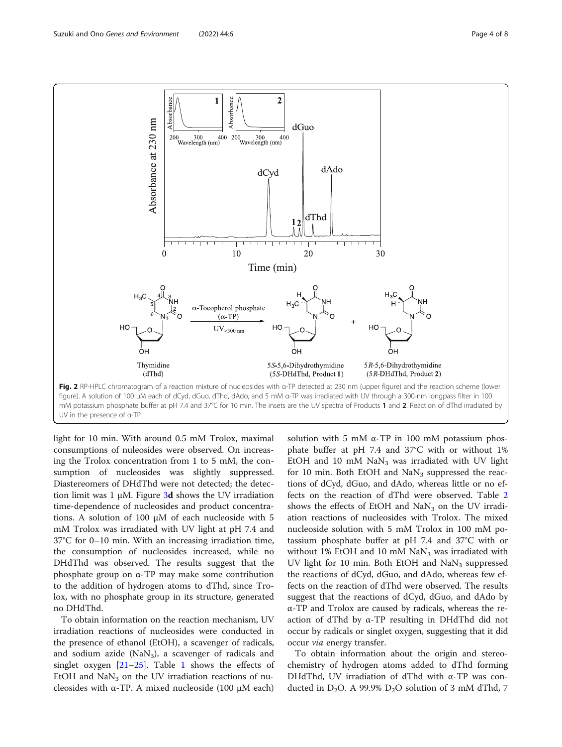<span id="page-3-0"></span>

light for 10 min. With around 0.5 mM Trolox, maximal consumptions of nuleosides were observed. On increasing the Trolox concentration from 1 to 5 mM, the consumption of nucleosides was slightly suppressed. Diastereomers of DHdThd were not detected; the detection limit was 1  $\mu$ M. Figure [3](#page-4-0)d shows the UV irradiation time-dependence of nucleosides and product concentrations. A solution of 100 μM of each nucleoside with 5 mM Trolox was irradiated with UV light at pH 7.4 and 37°C for 0–10 min. With an increasing irradiation time, the consumption of nucleosides increased, while no DHdThd was observed. The results suggest that the phosphate group on α-TP may make some contribution to the addition of hydrogen atoms to dThd, since Trolox, with no phosphate group in its structure, generated no DHdThd.

To obtain information on the reaction mechanism, UV irradiation reactions of nucleosides were conducted in the presence of ethanol (EtOH), a scavenger of radicals, and sodium azide ( $\text{NaN}_3$ ), a scavenger of radicals and singlet oxygen  $[21-25]$  $[21-25]$  $[21-25]$  $[21-25]$ . Table [1](#page-4-0) shows the effects of EtOH and  $\text{Na}\text{N}_3$  on the UV irradiation reactions of nucleosides with  $α$ -TP. A mixed nucleoside (100 μM each)

solution with 5 mM  $\alpha$ -TP in 100 mM potassium phosphate buffer at pH 7.4 and 37°C with or without 1% EtOH and 10 mM  $\text{NaN}_3$  was irradiated with UV light for 10 min. Both EtOH and  $\text{Na}\text{N}_3$  suppressed the reactions of dCyd, dGuo, and dAdo, whereas little or no effects on the reaction of dThd were observed. Table [2](#page-5-0) shows the effects of EtOH and  $\text{Na}\text{N}_3$  on the UV irradiation reactions of nucleosides with Trolox. The mixed nucleoside solution with 5 mM Trolox in 100 mM potassium phosphate buffer at pH 7.4 and 37°C with or without 1% EtOH and 10 mM  $\text{NaN}_3$  was irradiated with UV light for 10 min. Both EtOH and  $\text{Na}\text{N}_3$  suppressed the reactions of dCyd, dGuo, and dAdo, whereas few effects on the reaction of dThd were observed. The results suggest that the reactions of dCyd, dGuo, and dAdo by α-TP and Trolox are caused by radicals, whereas the reaction of dThd by α-TP resulting in DHdThd did not occur by radicals or singlet oxygen, suggesting that it did occur via energy transfer.

To obtain information about the origin and stereochemistry of hydrogen atoms added to dThd forming DHdThd, UV irradiation of dThd with α-TP was conducted in  $D_2O$ . A 99.9%  $D_2O$  solution of 3 mM dThd, 7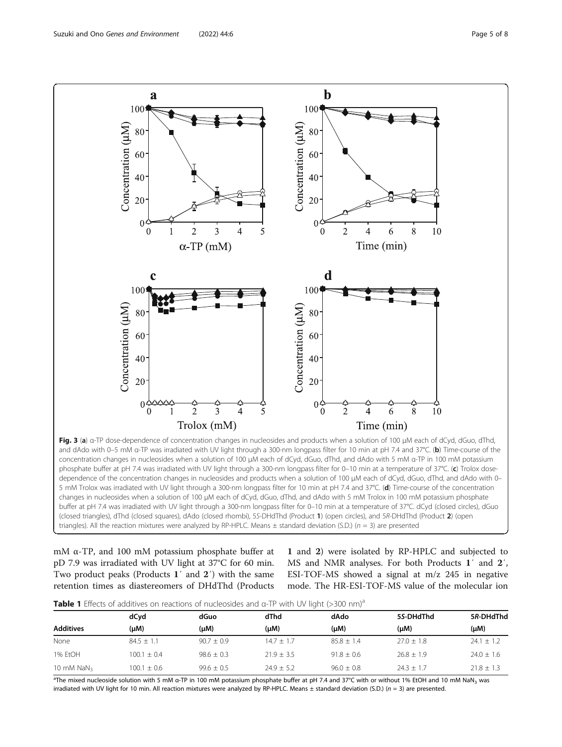<span id="page-4-0"></span>

phosphate buffer at pH 7.4 was irradiated with UV light through a 300-nm longpass filter for 0-10 min at a temperature of 37°C. (c) Trolox dosedependence of the concentration changes in nucleosides and products when a solution of 100 μM each of dCyd, dGuo, dThd, and dAdo with 0– 5 mM Trolox was irradiated with UV light through a 300-nm longpass filter for 10 min at pH 7.4 and 37°C. (d) Time-course of the concentration changes in nucleosides when a solution of 100 μM each of dCyd, dGuo, dThd, and dAdo with 5 mM Trolox in 100 mM potassium phosphate buffer at pH 7.4 was irradiated with UV light through a 300-nm longpass filter for 0–10 min at a temperature of 37°C. dCyd (closed circles), dGuo (closed triangles), dThd (closed squares), dAdo (closed rhombi), 5S-DHdThd (Product 1) (open circles), and 5R-DHdThd (Product 2) (open triangles). All the reaction mixtures were analyzed by RP-HPLC. Means  $\pm$  standard deviation (S.D.) ( $n = 3$ ) are presented

mM α-TP, and 100 mM potassium phosphate buffer at pD 7.9 was irradiated with UV light at 37°C for 60 min. Two product peaks (Products 1′ and 2′) with the same retention times as diastereomers of DHdThd (Products

1 and 2) were isolated by RP-HPLC and subjected to MS and NMR analyses. For both Products 1′ and 2′, ESI-TOF-MS showed a signal at m/z 245 in negative mode. The HR-ESI-TOF-MS value of the molecular ion

|  |  | Table 1 Effects of additives on reactions of nucleosides and a-TP with UV light (>300 nm) <sup>a</sup> |  |  |  |
|--|--|--------------------------------------------------------------------------------------------------------|--|--|--|
|  |  |                                                                                                        |  |  |  |

|                  | dCyd            | dGuo           | dThd         | dAdo         | 5S-DHdThd      | 5R-DHdThd      |  |
|------------------|-----------------|----------------|--------------|--------------|----------------|----------------|--|
| <b>Additives</b> | (µM)            | $(\mu M)$      | $(\mu M)$    | $(\mu M)$    | (µM)           | (µM)           |  |
| None             | $84.5 + 1.1$    | $90.7 \pm 0.9$ | $14.7 + 1.7$ | $85.8 + 1.4$ | $27.0 + 1.8$   | $24.1 + 1.2$   |  |
| 1% EtOH          | $100.1 + 0.4$   | $98.6 \pm 0.3$ | $21.9 + 3.5$ | $91.8 + 0.6$ | $26.8 \pm 1.9$ | $24.0 \pm 1.6$ |  |
| 10 mM $NaN3$     | $100.1 \pm 0.6$ | $99.6 \pm 0.5$ | $74.9 + 5.2$ | $96.0 + 0.8$ | $24.3 + 1.7$   | $21.8 + 1.3$   |  |

<sup>a</sup>The mixed nucleoside solution with 5 mM α-TP in 100 mM potassium phosphate buffer at pH 7.4 and 37°C with or without 1% EtOH and 10 mM NaN<sub>3</sub> was irradiated with UV light for 10 min. All reaction mixtures were analyzed by RP-HPLC. Means  $\pm$  standard deviation (S.D.) ( $n = 3$ ) are presented.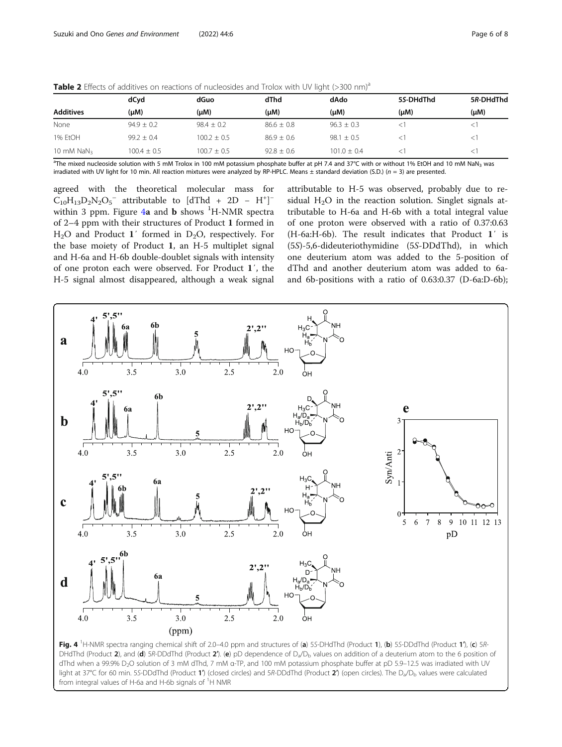|                  | dCyd            | dGuo            | dThd           | dAdo            | 5S-DHdThd | 5R-DHdThd |  |  |
|------------------|-----------------|-----------------|----------------|-----------------|-----------|-----------|--|--|
| <b>Additives</b> | (µM)            | (µM)            | $(\mu M)$      | $(\mu M)$       | $(\mu M)$ | (μM)      |  |  |
| None             | $94.9 \pm 0.2$  | $98.4 \pm 0.2$  | $86.6 \pm 0.8$ | $96.3 \pm 0.3$  |           |           |  |  |
| 1% EtOH          | $99.2 + 0.4$    | $100.2 \pm 0.5$ | $86.9 + 0.6$   | $98.1 \pm 0.5$  |           |           |  |  |
| 10 mM $NaN3$     | $100.4 \pm 0.5$ | $100.7 + 0.5$   | $92.8 + 0.6$   | $101.0 \pm 0.4$ |           |           |  |  |

<span id="page-5-0"></span>Table 2 Effects of additives on reactions of nucleosides and Trolox with UV light (>300 nm)<sup>a</sup>

<sup>a</sup>The mixed nucleoside solution with 5 mM Trolox in 100 mM potassium phosphate buffer at pH 7.4 and 37°C with or without 1% EtOH and 10 mM NaN<sub>3</sub> was irradiated with UV light for 10 min. All reaction mixtures were analyzed by RP-HPLC. Means  $\pm$  standard deviation (S.D.) ( $n = 3$ ) are presented.

agreed with the theoretical molecular mass for  $C_{10}H_{13}D_2N_2O_5$ <sup>-</sup> attributable to [dThd + 2D - H<sup>+</sup>]<sup>-</sup> within 3 ppm. Figure  $4a$  and  $b$  shows  $^1$ H-NMR spectra of 2–4 ppm with their structures of Product 1 formed in  $H<sub>2</sub>O$  and Product 1' formed in D<sub>2</sub>O, respectively. For the base moiety of Product 1, an H-5 multiplet signal and H-6a and H-6b double-doublet signals with intensity of one proton each were observed. For Product 1′, the H-5 signal almost disappeared, although a weak signal

attributable to H-5 was observed, probably due to residual  $H<sub>2</sub>O$  in the reaction solution. Singlet signals attributable to H-6a and H-6b with a total integral value of one proton were observed with a ratio of 0.37:0.63 (H-6a:H-6b). The result indicates that Product 1′ is (5S)-5,6-dideuteriothymidine (5S-DDdThd), in which one deuterium atom was added to the 5-position of dThd and another deuterium atom was added to 6aand 6b-positions with a ratio of 0.63:0.37 (D-6a:D-6b);



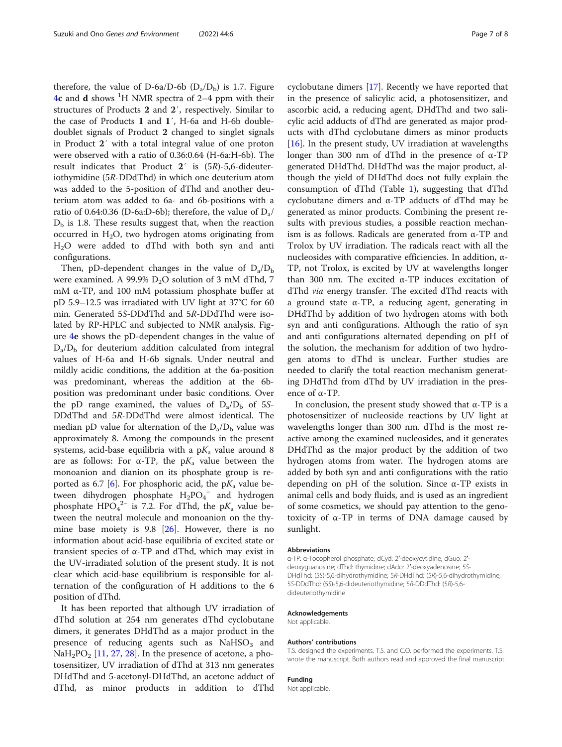therefore, the value of D-6a/D-6b  $(D_a/D_b)$  is 1.7. Figure [4](#page-5-0)c and d shows <sup>1</sup>H NMR spectra of 2-4 ppm with their structures of Products 2 and 2′, respectively. Similar to the case of Products 1 and 1′, H-6a and H-6b doubledoublet signals of Product 2 changed to singlet signals in Product 2′ with a total integral value of one proton were observed with a ratio of 0.36:0.64 (H-6a:H-6b). The result indicates that Product 2′ is (5R)-5,6-dideuteriothymidine (5R-DDdThd) in which one deuterium atom was added to the 5-position of dThd and another deuterium atom was added to 6a- and 6b-positions with a ratio of 0.64:0.36 (D-6a:D-6b); therefore, the value of  $D_a/$  $D<sub>b</sub>$  is 1.8. These results suggest that, when the reaction occurred in  $H_2O$ , two hydrogen atoms originating from H2O were added to dThd with both syn and anti configurations.

Then, pD-dependent changes in the value of  $D_a/D_b$ were examined. A 99.9%  $D_2O$  solution of 3 mM dThd, 7 mM α-TP, and 100 mM potassium phosphate buffer at pD 5.9–12.5 was irradiated with UV light at 37°C for 60 min. Generated 5S-DDdThd and 5R-DDdThd were isolated by RP-HPLC and subjected to NMR analysis. Figure [4](#page-5-0)e shows the pD-dependent changes in the value of  $D_a/D_b$  for deuterium addition calculated from integral values of H-6a and H-6b signals. Under neutral and mildly acidic conditions, the addition at the 6a-position was predominant, whereas the addition at the 6bposition was predominant under basic conditions. Over the pD range examined, the values of  $D_a/D_b$  of 5S-DDdThd and 5R-DDdThd were almost identical. The median pD value for alternation of the  $D_a/D_b$  value was approximately 8. Among the compounds in the present systems, acid-base equilibria with a  $pK_a$  value around 8 are as follows: For  $\alpha$ -TP, the p $K_a$  value between the monoanion and dianion on its phosphate group is re-ported as 6.7 [[6\]](#page-7-0). For phosphoric acid, the  $pK_a$  value between dihydrogen phosphate  $H_2PO_4^-$  and hydrogen phosphate  $HPO<sub>4</sub><sup>2–</sup>$  is 7.2. For dThd, the p $K<sub>a</sub>$  value between the neutral molecule and monoanion on the thymine base moiety is 9.8 [[26](#page-7-0)]. However, there is no information about acid-base equilibria of excited state or transient species of α-TP and dThd, which may exist in the UV-irradiated solution of the present study. It is not clear which acid-base equilibrium is responsible for alternation of the configuration of H additions to the 6 position of dThd.

It has been reported that although UV irradiation of dThd solution at 254 nm generates dThd cyclobutane dimers, it generates DHdThd as a major product in the presence of reducing agents such as  $NaHSO<sub>3</sub>$  and  $NaH<sub>2</sub>PO<sub>2</sub>$  [[11,](#page-7-0) [27,](#page-7-0) [28](#page-7-0)]. In the presence of acetone, a photosensitizer, UV irradiation of dThd at 313 nm generates DHdThd and 5-acetonyl-DHdThd, an acetone adduct of dThd, as minor products in addition to dThd

cyclobutane dimers [\[17\]](#page-7-0). Recently we have reported that in the presence of salicylic acid, a photosensitizer, and ascorbic acid, a reducing agent, DHdThd and two salicylic acid adducts of dThd are generated as major products with dThd cyclobutane dimers as minor products [[16\]](#page-7-0). In the present study, UV irradiation at wavelengths longer than 300 nm of dThd in the presence of α-TP generated DHdThd. DHdThd was the major product, although the yield of DHdThd does not fully explain the consumption of dThd (Table [1](#page-4-0)), suggesting that dThd cyclobutane dimers and α-TP adducts of dThd may be generated as minor products. Combining the present results with previous studies, a possible reaction mechanism is as follows. Radicals are generated from α-TP and Trolox by UV irradiation. The radicals react with all the nucleosides with comparative efficiencies. In addition, α-TP, not Trolox, is excited by UV at wavelengths longer than 300 nm. The excited α-TP induces excitation of dThd via energy transfer. The excited dThd reacts with a ground state α-TP, a reducing agent, generating in DHdThd by addition of two hydrogen atoms with both syn and anti configurations. Although the ratio of syn and anti configurations alternated depending on pH of the solution, the mechanism for addition of two hydrogen atoms to dThd is unclear. Further studies are needed to clarify the total reaction mechanism generating DHdThd from dThd by UV irradiation in the presence of α-TP.

In conclusion, the present study showed that  $α$ -TP is a photosensitizer of nucleoside reactions by UV light at wavelengths longer than 300 nm. dThd is the most reactive among the examined nucleosides, and it generates DHdThd as the major product by the addition of two hydrogen atoms from water. The hydrogen atoms are added by both syn and anti configurations with the ratio depending on pH of the solution. Since α-TP exists in animal cells and body fluids, and is used as an ingredient of some cosmetics, we should pay attention to the genotoxicity of α-TP in terms of DNA damage caused by sunlight.

#### Abbreviations

α-TP: α-Tocopherol phosphate; dCyd: 2′-deoxycytidine; dGuo: 2′ deoxyguanosine; dThd: thymidine; dAdo: 2′-deoxyadenosine; 5S-DHdThd: (5S)-5,6-dihydrothymidine; 5R-DHdThd: (5R)-5,6-dihydrothymidine; 5S-DDdThd: (5S)-5,6-dideuteriothymidine; 5R-DDdThd: (5R)-5,6 dideuteriothymidine

#### Acknowledgements

Not applicable.

## Authors' contributions

T.S. designed the experiments. T.S. and C.O. performed the experiments. T.S. wrote the manuscript. Both authors read and approved the final manuscript.

## Funding

Not applicable.